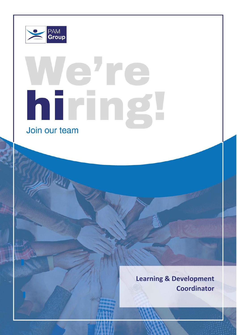

Role: Learning & Development Manager

 $P_{\text{max}}$ 

# ehre hiring Join our team

**Learning & Development Coordinator**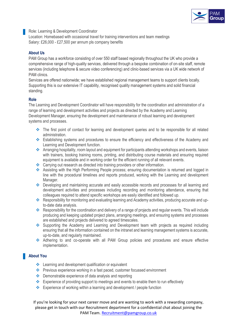

Role: Learning & Development Coordinator Location: Homebased with occasional travel for training interventions and team meetings Salary: £26,000 - £27,500 per annum pls company benefits

# **About Us**

PAM Group has a workforce consisting of over 550 staff based regionally throughout the UK who provide a comprehensive range of high-quality services, delivered through a bespoke combination of on-site staff, remote services (including telephone & secure video conferencing) and clinic-based services via a UK wide network of PAM clinics.

Services are offered nationwide; we have established regional management teams to support clients locally. Supporting this is our extensive IT capability, recognised quality management systems and solid financial standing.

## **Role**

The Learning and Development Coordinator will have responsibility for the coordination and administration of a range of learning and development activities and projects as directed by the Academy and Learning Development Manager, ensuring the development and maintenance of robust learning and development systems and processes.

- ❖ The first point of contact for learning and development queries and to be responsible for all related administration.
- ❖ Establishing systems and procedures to ensure the efficiency and effectiveness of the Academy and Learning and Development function.
- ❖ Arranging hospitality, room layout and equipment for participants attending workshops and events, liaison with trainers, booking training rooms, printing, and distributing course materials and ensuring required equipment is available and in working order for the efficient running of all relevant events.
- ❖ Carrying out research as directed into training providers or other information.
- ❖ Assisting with the High Performing People process; ensuring documentation is returned and logged in line with the procedural timelines and reports produced, working with the Learning and development Manager.
- ❖ Developing and maintaining accurate and easily accessible records and processes for all learning and development activities and processes including recording and monitoring attendance, ensuring that colleagues required to attend specific workshops are easily identified and followed up.
- ❖ Responsibility for monitoring and evaluating learning and Academy activities, producing accurate and upto-date data analysis.
- ❖ Responsibility for the coordination and delivery of a range of projects and regular events. This will include producing and keeping updated project plans, arranging meetings, and ensuring systems and processes are established and projects delivered to agreed timescales.
- ❖ Supporting the Academy and Learning and Development team with projects as required including ensuring that all the information contained on the intranet and learning management systems is accurate, up-to-date, and regularly maintained.
- ❖ Adhering to and co-operate with all PAM Group policies and procedures and ensure effective implementation.

# **About You**

- ❖ Learning and development qualification or equivalent
- ❖ Previous experience working in a fast paced, customer focussed environment
- ❖ Demonstrable experience of data analysis and reporting
- ❖ Experience of providing support to meetings and events to enable them to run effectively
- ❖ Experience of working within a learning and development / people function

If you're looking for your next career move and are wanting to work with a rewarding company, please get in touch with our Recruitment department for a confidential chat about joining the PAM Team. [Recruitment@pamgroup.co.uk](mailto:Recruitment@pamgroup.co.uk)